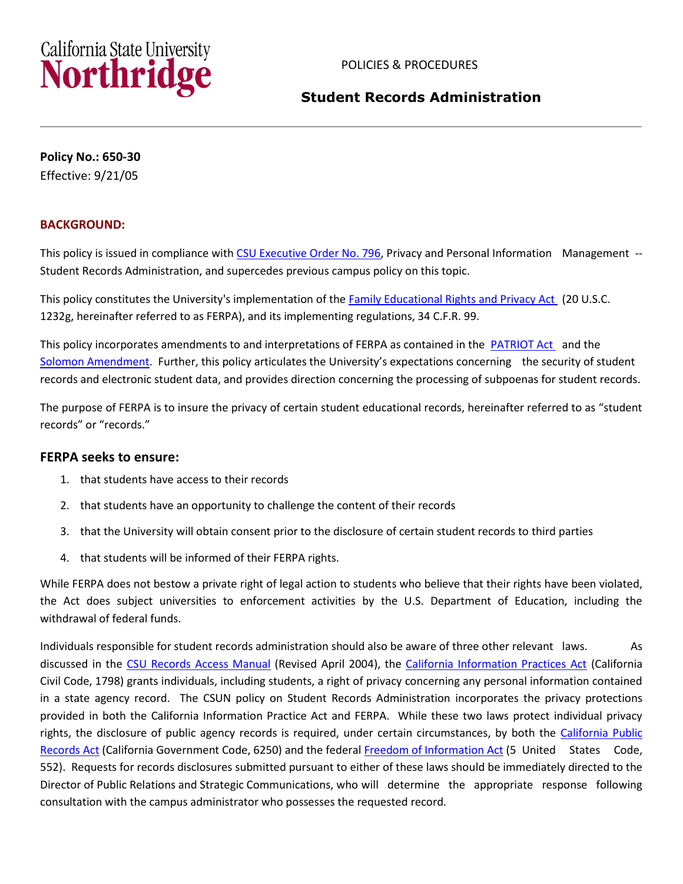

# **Student Records Administration**

 **Policy No.: 650-30**  Effective: 9/21/05

## **BACKGROUND:**

This policy is issued in compliance with [CSU Executive Order No. 796,](http://www.calstate.edu/eo/EO-796.pdf) Privacy and Personal Information Management --Student Records Administration, and supercedes previous campus policy on this topic.

This policy constitutes the University's implementation of th[e Family Educational Rights and Privacy Act](http://www2.ed.gov/policy/gen/guid/fpco/ferpa/index.html) (20 U.S.C. 1232g, hereinafter referred to as FERPA), and its implementing regulations, 34 C.F.R. 99.

This policy incorporates amendments to and interpretations of FERPA as contained in the **PATRIOT Act** and the [Solomon Amendment](http://www.aacrao.org/compliance/solomon/index.cfm). Further, this policy articulates the University's expectations concerning the security of student records and electronic student data, and provides direction concerning the processing of subpoenas for student records.

 The purpose of FERPA is to insure the privacy of certain student educational records, hereinafter referred to as "student records" or "records."

# **FERPA seeks to ensure:**

- 1. that students have access to their records
- 2. that students have an opportunity to challenge the content of their records
- 3. that the University will obtain consent prior to the disclosure of certain student records to third parties
- 4. that students will be informed of their FERPA rights.

 While FERPA does not bestow a private right of legal action to students who believe that their rights have been violated, the Act does subject universities to enforcement activities by the U.S. Department of Education, including the withdrawal of federal funds.

Individuals responsible for student records administration should also be aware of three other relevant laws. As discussed in the [CSU Records Access Manual](http://www.calstate.edu/gc/Docs/Records_Access_Manual.doc) (Revised April 2004), the [California Information Practices Act](http://www.dhcs.ca.gov/formsandpubs/laws/priv/Pages/StateInformationPracticesAct.aspx) (California Civil Code, 1798) grants individuals, including students, a right of privacy concerning any personal information contained in a state agency record. The CSUN policy on Student Records Administration incorporates the privacy protections provided in both the California Information Practice Act and FERPA. While these two laws protect individual privacy [Records Act](http://ag.ca.gov/publications/public_records_act.pdf) (California Government Code, 6250) and the federal [Freedom of Information Act](http://www.justice.gov/oip/) (5 United States Code, Director of Public Relations and Strategic Communications, who will determine the appropriate response following rights, the disclosure of public agency records is required, under certain circumstances, by both the [California Public](http://ag.ca.gov/publications/public_records_act.pdf)  552). Requests for records disclosures submitted pursuant to either of these laws should be immediately directed to the consultation with the campus administrator who possesses the requested record.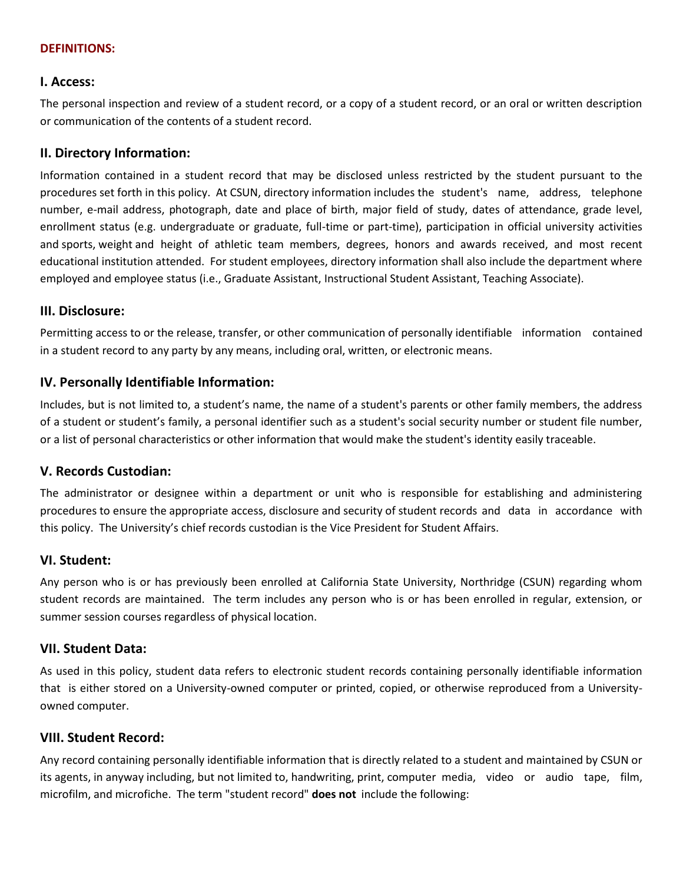### **DEFINITIONS:**

### **I. Access:**

 The personal inspection and review of a student record, or a copy of a student record, or an oral or written description or communication of the contents of a student record.

### **II. Directory Information:**

 Information contained in a student record that may be disclosed unless restricted by the student pursuant to the procedures set forth in this policy. At CSUN, directory information includes the student's name, address, telephone number, e-mail address, photograph, date and place of birth, major field of study, dates of attendance, grade level, enrollment status (e.g. undergraduate or graduate, full-time or part-time), participation in official university activities and sports, weight and height of athletic team members, degrees, honors and awards received, and most recent educational institution attended. For student employees, directory information shall also include the department where employed and employee status (i.e., Graduate Assistant, Instructional Student Assistant, Teaching Associate).

### **III. Disclosure:**

 Permitting access to or the release, transfer, or other communication of personally identifiable information contained in a student record to any party by any means, including oral, written, or electronic means.

## **IV. Personally Identifiable Information:**

 Includes, but is not limited to, a student's name, the name of a student's parents or other family members, the address of a student or student's family, a personal identifier such as a student's social security number or student file number, or a list of personal characteristics or other information that would make the student's identity easily traceable.

### **V. Records Custodian:**

 The administrator or designee within a department or unit who is responsible for establishing and administering procedures to ensure the appropriate access, disclosure and security of student records and data in accordance with this policy. The University's chief records custodian is the Vice President for Student Affairs.

### **VI. Student:**

 Any person who is or has previously been enrolled at California State University, Northridge (CSUN) regarding whom student records are maintained. The term includes any person who is or has been enrolled in regular, extension, or summer session courses regardless of physical location.

### **VII. Student Data:**

As used in this policy, student data refers to electronic student records containing personally identifiable information that is either stored on a University-owned computer or printed, copied, or otherwise reproduced from a Universityowned computer.

### **VIII. Student Record:**

 microfilm, and microfiche. The term "student record" **does not** include the following: Any record containing personally identifiable information that is directly related to a student and maintained by CSUN or its agents, in anyway including, but not limited to, handwriting, print, computer media, video or audio tape, film,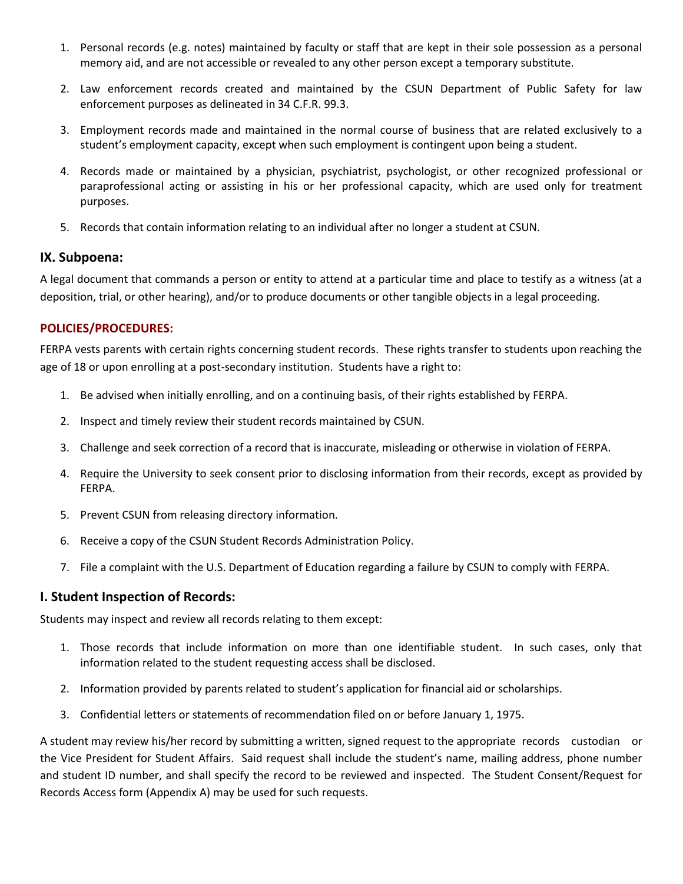- 1. Personal records (e.g. notes) maintained by faculty or staff that are kept in their sole possession as a personal memory aid, and are not accessible or revealed to any other person except a temporary substitute.
- 2. Law enforcement records created and maintained by the CSUN Department of Public Safety for law enforcement purposes as delineated in 34 C.F.R. 99.3.
- 3. Employment records made and maintained in the normal course of business that are related exclusively to a student's employment capacity, except when such employment is contingent upon being a student.
- paraprofessional acting or assisting in his or her professional capacity, which are used only for treatment 4. Records made or maintained by a physician, psychiatrist, psychologist, or other recognized professional or purposes.
- 5. Records that contain information relating to an individual after no longer a student at CSUN.

## **IX. Subpoena:**

 A legal document that commands a person or entity to attend at a particular time and place to testify as a witness (at a deposition, trial, or other hearing), and/or to produce documents or other tangible objects in a legal proceeding.

### **POLICIES/PROCEDURES:**

 FERPA vests parents with certain rights concerning student records. These rights transfer to students upon reaching the age of 18 or upon enrolling at a post-secondary institution. Students have a right to:

- 1. Be advised when initially enrolling, and on a continuing basis, of their rights established by FERPA.<br>2. Inspect and timely review their student records maintained by CSUN.
- 
- 3. Challenge and seek correction of a record that is inaccurate, misleading or otherwise in violation of FERPA.
- 4. Require the University to seek consent prior to disclosing information from their records, except as provided by FERPA.
- 5. Prevent CSUN from releasing directory information.
- 6. Receive a copy of the CSUN Student Records Administration Policy.
- 7. File a complaint with the U.S. Department of Education regarding a failure by CSUN to comply with FERPA.

## **I. Student Inspection of Records:**

Students may inspect and review all records relating to them except:

- 1. Those records that include information on more than one identifiable student. In such cases, only that information related to the student requesting access shall be disclosed.
- 2. Information provided by parents related to student's application for financial aid or scholarships.
- 3. Confidential letters or statements of recommendation filed on or before January 1, 1975.

 A student may review his/her record by submitting a written, signed request to the appropriate records custodian or the Vice President for Student Affairs. Said request shall include the student's name, mailing address, phone number and student ID number, and shall specify the record to be reviewed and inspected. The Student Consent/Request for Records Access form (Appendix A) may be used for such requests.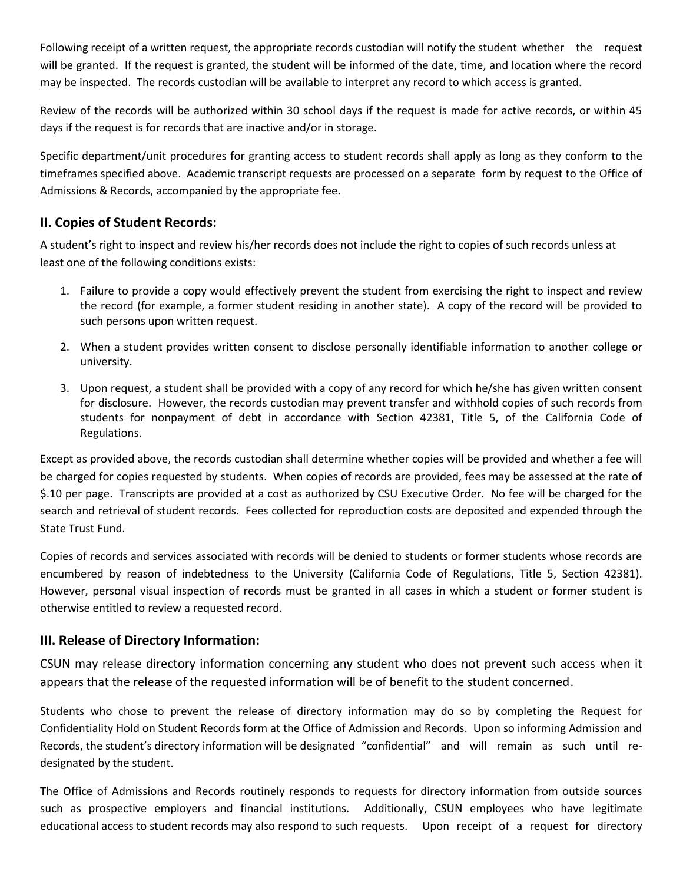Following receipt of a written request, the appropriate records custodian will notify the student whether the request will be granted. If the request is granted, the student will be informed of the date, time, and location where the record may be inspected. The records custodian will be available to interpret any record to which access is granted.

 Review of the records will be authorized within 30 school days if the request is made for active records, or within 45 days if the request is for records that are inactive and/or in storage.

 Specific department/unit procedures for granting access to student records shall apply as long as they conform to the timeframes specified above. Academic transcript requests are processed on a separate form by request to the Office of Admissions & Records, accompanied by the appropriate fee.

# **II. Copies of Student Records:**

A student's right to inspect and review his/her records does not include the right to copies of such records unless at least one of the following conditions exists:

- 1. Failure to provide a copy would effectively prevent the student from exercising the right to inspect and review the record (for example, a former student residing in another state). A copy of the record will be provided to such persons upon written request.
- 2. When a student provides written consent to disclose personally identifiable information to another college or university.
- 3. Upon request, a student shall be provided with a copy of any record for which he/she has given written consent for disclosure. However, the records custodian may prevent transfer and withhold copies of such records from students for nonpayment of debt in accordance with Section 42381, Title 5, of the California Code of Regulations.

 Except as provided above, the records custodian shall determine whether copies will be provided and whether a fee will be charged for copies requested by students. When copies of records are provided, fees may be assessed at the rate of \$.10 per page. Transcripts are provided at a cost as authorized by CSU Executive Order. No fee will be charged for the search and retrieval of student records. Fees collected for reproduction costs are deposited and expended through the State Trust Fund.

 Copies of records and services associated with records will be denied to students or former students whose records are encumbered by reason of indebtedness to the University (California Code of Regulations, Title 5, Section 42381). However, personal visual inspection of records must be granted in all cases in which a student or former student is otherwise entitled to review a requested record.

# **III. Release of Directory Information:**

 CSUN may release directory information concerning any student who does not prevent such access when it appears that the release of the requested information will be of benefit to the student concerned.

 Students who chose to prevent the release of directory information may do so by completing the Request for Confidentiality Hold on Student Records form at the Office of Admission and Records. Upon so informing Admission and Records, the student's directory information will be designated "confidential" and will remain as such until redesignated by the student.

 The Office of Admissions and Records routinely responds to requests for directory information from outside sources such as prospective employers and financial institutions. Additionally, CSUN employees who have legitimate educational access to student records may also respond to such requests. Upon receipt of a request for directory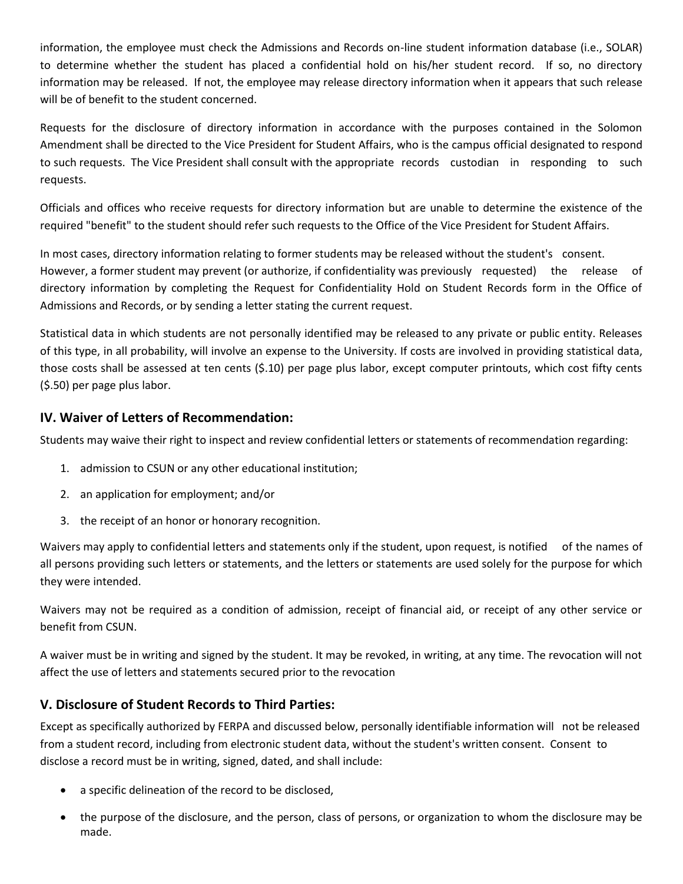information, the employee must check the Admissions and Records on-line student information database (i.e., SOLAR) to determine whether the student has placed a confidential hold on his/her student record. If so, no directory information may be released. If not, the employee may release directory information when it appears that such release will be of benefit to the student concerned.

 Requests for the disclosure of directory information in accordance with the purposes contained in the Solomon Amendment shall be directed to the Vice President for Student Affairs, who is the campus official designated to respond to such requests. The Vice President shall consult with the appropriate records custodian in responding to such requests.

 Officials and offices who receive requests for directory information but are unable to determine the existence of the required "benefit" to the student should refer such requests to the Office of the Vice President for Student Affairs.

 In most cases, directory information relating to former students may be released without the student's consent. directory information by completing the Request for Confidentiality Hold on Student Records form in the Office of However, a former student may prevent (or authorize, if confidentiality was previously requested) the release of Admissions and Records, or by sending a letter stating the current request.

 Statistical data in which students are not personally identified may be released to any private or public entity. Releases of this type, in all probability, will involve an expense to the University. If costs are involved in providing statistical data, those costs shall be assessed at ten cents (\$.10) per page plus labor, except computer printouts, which cost fifty cents (\$.50) per page plus labor.

# **IV. Waiver of Letters of Recommendation:**

Students may waive their right to inspect and review confidential letters or statements of recommendation regarding:

- 1. admission to CSUN or any other educational institution;
- 2. an application for employment; and/or
- 3. the receipt of an honor or honorary recognition.

Waivers may apply to confidential letters and statements only if the student, upon request, is notified of the names of all persons providing such letters or statements, and the letters or statements are used solely for the purpose for which they were intended.

 Waivers may not be required as a condition of admission, receipt of financial aid, or receipt of any other service or benefit from CSUN.

 A waiver must be in writing and signed by the student. It may be revoked, in writing, at any time. The revocation will not affect the use of letters and statements secured prior to the revocation

# **V. Disclosure of Student Records to Third Parties:**

 Except as specifically authorized by FERPA and discussed below, personally identifiable information will not be released disclose a record must be in writing, signed, dated, and shall include: from a student record, including from electronic student data, without the student's written consent. Consent to

- a specific delineation of the record to be disclosed,
- the purpose of the disclosure, and the person, class of persons, or organization to whom the disclosure may be made.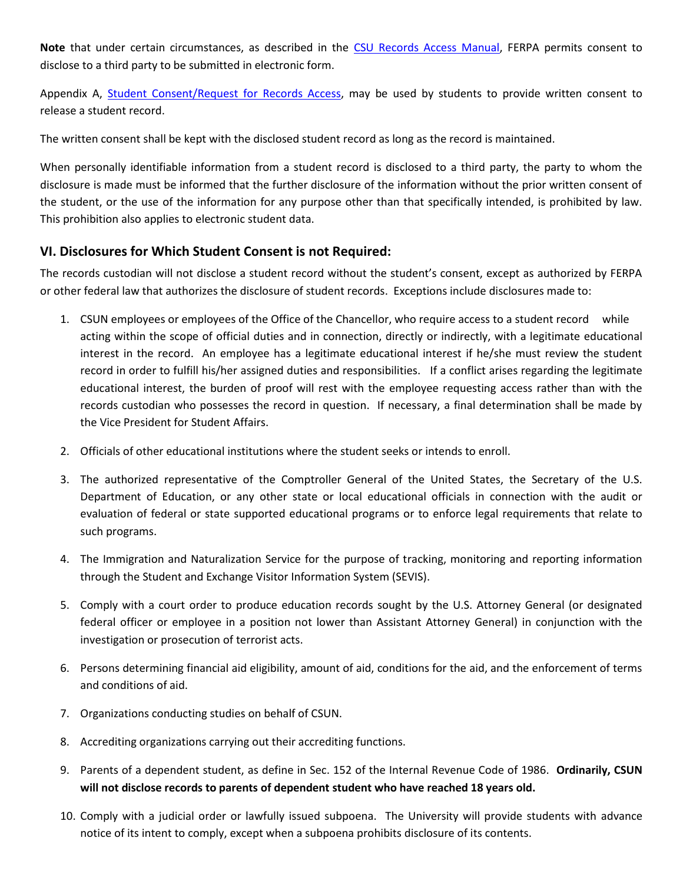**Note** that under certain circumstances, as described in the [CSU Records Access Manual,](http://www.calstate.edu/gc/Docs/Records_Access_Manual.doc) FERPA permits consent to disclose to a third party to be submitted in electronic form.

Appendix A, [Student Consent/Request for Records Access,](http://www.csun.edu/studentaffairs/pdfs/records_access_form.pdf) may be used by students to provide written consent to release a student record.

The written consent shall be kept with the disclosed student record as long as the record is maintained.

 When personally identifiable information from a student record is disclosed to a third party, the party to whom the disclosure is made must be informed that the further disclosure of the information without the prior written consent of the student, or the use of the information for any purpose other than that specifically intended, is prohibited by law. This prohibition also applies to electronic student data.

# **VI. Disclosures for Which Student Consent is not Required:**

 The records custodian will not disclose a student record without the student's consent, except as authorized by FERPA or other federal law that authorizes the disclosure of student records. Exceptions include disclosures made to:

- 1. CSUN employees or employees of the Office of the Chancellor, who require access to a student record while acting within the scope of official duties and in connection, directly or indirectly, with a legitimate educational interest in the record. An employee has a legitimate educational interest if he/she must review the student record in order to fulfill his/her assigned duties and responsibilities. If a conflict arises regarding the legitimate educational interest, the burden of proof will rest with the employee requesting access rather than with the records custodian who possesses the record in question. If necessary, a final determination shall be made by the Vice President for Student Affairs.
- 2. Officials of other educational institutions where the student seeks or intends to enroll.
- 3. The authorized representative of the Comptroller General of the United States, the Secretary of the U.S. Department of Education, or any other state or local educational officials in connection with the audit or evaluation of federal or state supported educational programs or to enforce legal requirements that relate to such programs.
- 4. The Immigration and Naturalization Service for the purpose of tracking, monitoring and reporting information through the Student and Exchange Visitor Information System (SEVIS).
- 5. Comply with a court order to produce education records sought by the U.S. Attorney General (or designated federal officer or employee in a position not lower than Assistant Attorney General) in conjunction with the investigation or prosecution of terrorist acts.
- 6. Persons determining financial aid eligibility, amount of aid, conditions for the aid, and the enforcement of terms and conditions of aid.
- 7. Organizations conducting studies on behalf of CSUN.
- 8. Accrediting organizations carrying out their accrediting functions.
- 9. Parents of a dependent student, as define in Sec. 152 of the Internal Revenue Code of 1986. **Ordinarily, CSUN will not disclose records to parents of dependent student who have reached 18 years old.**
- 10. Comply with a judicial order or lawfully issued subpoena. The University will provide students with advance notice of its intent to comply, except when a subpoena prohibits disclosure of its contents.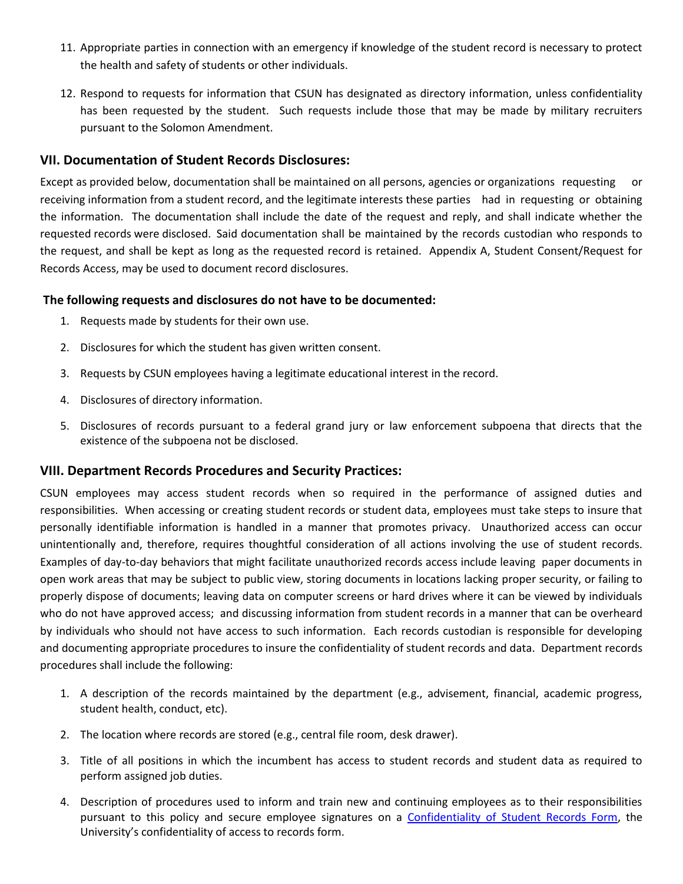- 11. Appropriate parties in connection with an emergency if knowledge of the student record is necessary to protect the health and safety of students or other individuals.
- the health and safety of students or other individuals.<br>12. Respond to requests for information that CSUN has designated as directory information, unless confidentiality has been requested by the student. Such requests include those that may be made by military recruiters pursuant to the Solomon Amendment.

## **VII. Documentation of Student Records Disclosures:**

Except as provided below, documentation shall be maintained on all persons, agencies or organizations requesting or receiving information from a student record, and the legitimate interests these parties had in requesting or obtaining the information. The documentation shall include the date of the request and reply, and shall indicate whether the requested records were disclosed. Said documentation shall be maintained by the records custodian who responds to the request, and shall be kept as long as the requested record is retained. Appendix A, Student Consent/Request for Records Access, may be used to document record disclosures.

## **The following requests and disclosures do not have to be documented:**

- 1. Requests made by students for their own use.
- 2. Disclosures for which the student has given written consent.
- 3. Requests by CSUN employees having a legitimate educational interest in the record.
- 4. Disclosures of directory information.
- 5. Disclosures of records pursuant to a federal grand jury or law enforcement subpoena that directs that the existence of the subpoena not be disclosed.

## **VIII. Department Records Procedures and Security Practices:**

 CSUN employees may access student records when so required in the performance of assigned duties and responsibilities. When accessing or creating student records or student data, employees must take steps to insure that personally identifiable information is handled in a manner that promotes privacy. Unauthorized access can occur unintentionally and, therefore, requires thoughtful consideration of all actions involving the use of student records. Examples of day-to-day behaviors that might facilitate unauthorized records access include leaving paper documents in open work areas that may be subject to public view, storing documents in locations lacking proper security, or failing to properly dispose of documents; leaving data on computer screens or hard drives where it can be viewed by individuals who do not have approved access; and discussing information from student records in a manner that can be overheard by individuals who should not have access to such information. Each records custodian is responsible for developing and documenting appropriate procedures to insure the confidentiality of student records and data. Department records procedures shall include the following:

- 1. A description of the records maintained by the department (e.g., advisement, financial, academic progress, student health, conduct, etc).
- 2. The location where records are stored (e.g., central file room, desk drawer).
- 3. Title of all positions in which the incumbent has access to student records and student data as required to perform assigned job duties.
- 4. Description of procedures used to inform and train new and continuing employees as to their responsibilities pursuant to this policy and secure employee signatures on a [Confidentiality of Student Records Form,](http://www.csun.edu/dres/studentservices/confidentiality.php) the University's confidentiality of access to records form.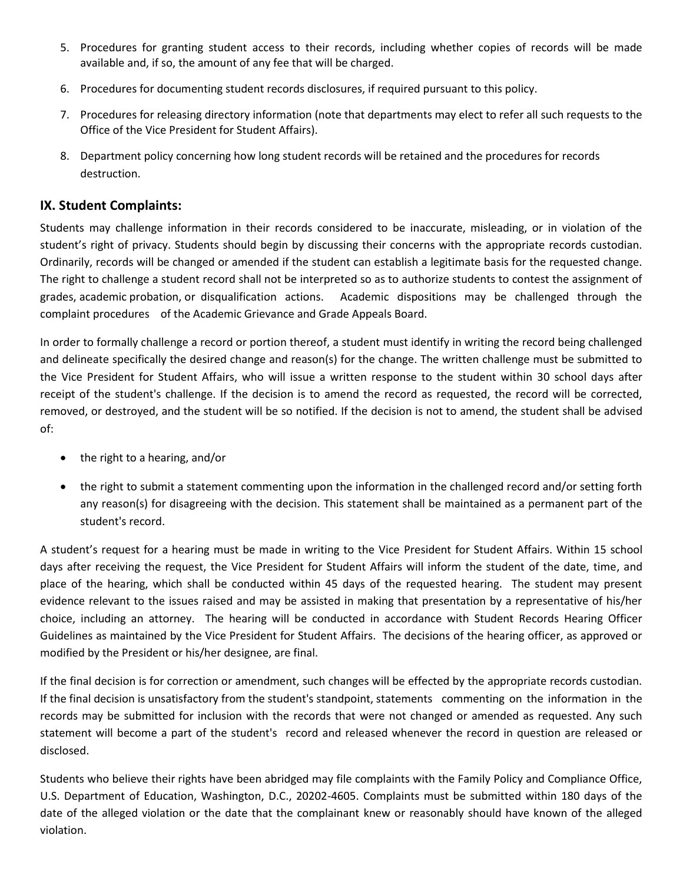- 5. Procedures for granting student access to their records, including whether copies of records will be made available and, if so, the amount of any fee that will be charged.
- 6. Procedures for documenting student records disclosures, if required pursuant to this policy.
- 7. Procedures for releasing directory information (note that departments may elect to refer all such requests to the Office of the Vice President for Student Affairs).
- 8. Department policy concerning how long student records will be retained and the procedures for records destruction.

# **IX. Student Complaints:**

 Students may challenge information in their records considered to be inaccurate, misleading, or in violation of the student's right of privacy. Students should begin by discussing their concerns with the appropriate records custodian. Ordinarily, records will be changed or amended if the student can establish a legitimate basis for the requested change. The right to challenge a student record shall not be interpreted so as to authorize students to contest the assignment of grades, academic probation, or disqualification actions. Academic dispositions may be challenged through the complaint procedures of the Academic Grievance and Grade Appeals Board.

 In order to formally challenge a record or portion thereof, a student must identify in writing the record being challenged and delineate specifically the desired change and reason(s) for the change. The written challenge must be submitted to the Vice President for Student Affairs, who will issue a written response to the student within 30 school days after receipt of the student's challenge. If the decision is to amend the record as requested, the record will be corrected, removed, or destroyed, and the student will be so notified. If the decision is not to amend, the student shall be advised of:

- the right to a hearing, and/or
- the right to submit a statement commenting upon the information in the challenged record and/or setting forth any reason(s) for disagreeing with the decision. This statement shall be maintained as a permanent part of the student's record.

 A student's request for a hearing must be made in writing to the Vice President for Student Affairs. Within 15 school days after receiving the request, the Vice President for Student Affairs will inform the student of the date, time, and place of the hearing, which shall be conducted within 45 days of the requested hearing. The student may present evidence relevant to the issues raised and may be assisted in making that presentation by a representative of his/her choice, including an attorney. The hearing will be conducted in accordance with Student Records Hearing Officer Guidelines as maintained by the Vice President for Student Affairs. The decisions of the hearing officer, as approved or modified by the President or his/her designee, are final.

 If the final decision is for correction or amendment, such changes will be effected by the appropriate records custodian. If the final decision is unsatisfactory from the student's standpoint, statements commenting on the information in the records may be submitted for inclusion with the records that were not changed or amended as requested. Any such statement will become a part of the student's record and released whenever the record in question are released or disclosed.

 Students who believe their rights have been abridged may file complaints with the Family Policy and Compliance Office, U.S. Department of Education, Washington, D.C., 20202-4605. Complaints must be submitted within 180 days of the date of the alleged violation or the date that the complainant knew or reasonably should have known of the alleged violation.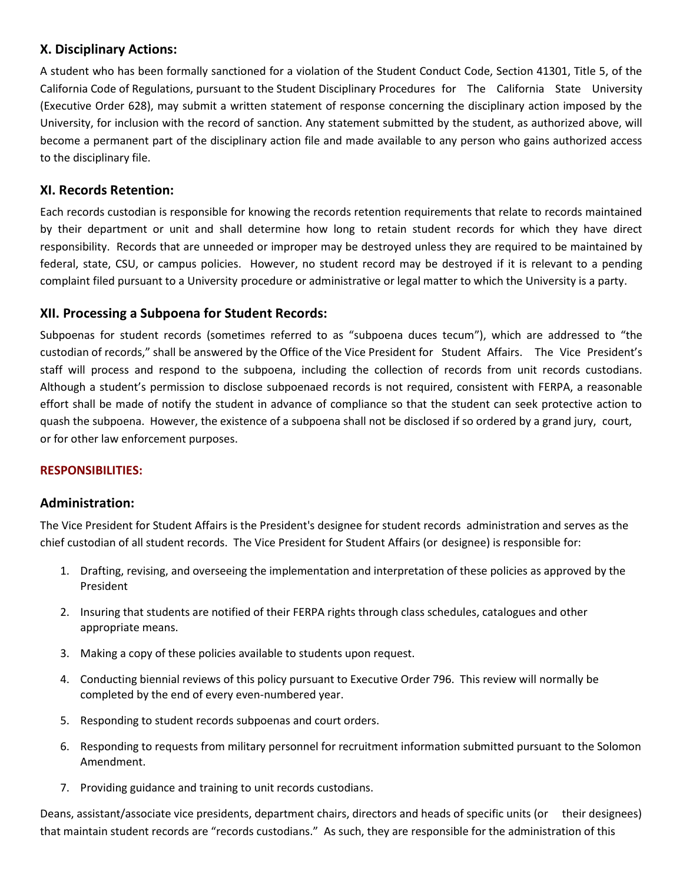# **X. Disciplinary Actions:**

 A student who has been formally sanctioned for a violation of the Student Conduct Code, Section 41301, Title 5, of the (Executive Order 628), may submit a written statement of response concerning the disciplinary action imposed by the University, for inclusion with the record of sanction. Any statement submitted by the student, as authorized above, will become a permanent part of the disciplinary action file and made available to any person who gains authorized access California Code of Regulations, pursuant to the Student Disciplinary Procedures for The California State University to the disciplinary file.

# **XI. Records Retention:**

 Each records custodian is responsible for knowing the records retention requirements that relate to records maintained by their department or unit and shall determine how long to retain student records for which they have direct responsibility. Records that are unneeded or improper may be destroyed unless they are required to be maintained by federal, state, CSU, or campus policies. However, no student record may be destroyed if it is relevant to a pending complaint filed pursuant to a University procedure or administrative or legal matter to which the University is a party.

## **XII. Processing a Subpoena for Student Records:**

 Subpoenas for student records (sometimes referred to as "subpoena duces tecum"), which are addressed to "the custodian of records," shall be answered by the Office of the Vice President for Student Affairs. The Vice President's staff will process and respond to the subpoena, including the collection of records from unit records custodians. effort shall be made of notify the student in advance of compliance so that the student can seek protective action to quash the subpoena. However, the existence of a subpoena shall not be disclosed if so ordered by a grand jury, court, Although a student's permission to disclose subpoenaed records is not required, consistent with FERPA, a reasonable or for other law enforcement purposes.

## **RESPONSIBILITIES:**

## **Administration:**

The Vice President for Student Affairs is the President's designee for student records administration and serves as the chief custodian of all student records. The Vice President for Student Affairs (or designee) is responsible for:

- 1. Drafting, revising, and overseeing the implementation and interpretation of these policies as approved by the President
- appropriate means. 2. Insuring that students are notified of their FERPA rights through class schedules, catalogues and other
- 3. Making a copy of these policies available to students upon request.
- completed by the end of every even-numbered year. 4. Conducting biennial reviews of this policy pursuant to Executive Order 796. This review will normally be
- 5. Responding to student records subpoenas and court orders.
- 6. Responding to requests from military personnel for recruitment information submitted pursuant to the Solomon Amendment.
- 7. Providing guidance and training to unit records custodians.

 that maintain student records are "records custodians." As such, they are responsible for the administration of this Deans, assistant/associate vice presidents, department chairs, directors and heads of specific units (or their designees)